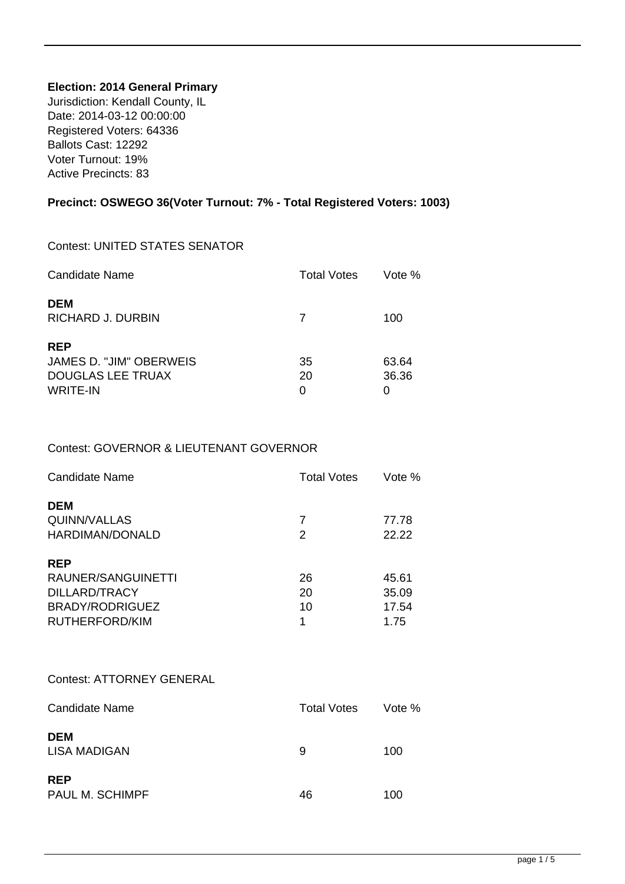### **Election: 2014 General Primary**

Jurisdiction: Kendall County, IL Date: 2014-03-12 00:00:00 Registered Voters: 64336 Ballots Cast: 12292 Voter Turnout: 19% Active Precincts: 83

## **Precinct: OSWEGO 36(Voter Turnout: 7% - Total Registered Voters: 1003)**

#### Contest: UNITED STATES SENATOR

| Candidate Name                                                                       | <b>Total Votes</b> | Vote %              |
|--------------------------------------------------------------------------------------|--------------------|---------------------|
| <b>DEM</b><br>RICHARD J. DURBIN                                                      | 7                  | 100                 |
| <b>REP</b><br>JAMES D. "JIM" OBERWEIS<br><b>DOUGLAS LEE TRUAX</b><br><b>WRITE-IN</b> | 35<br>20<br>O      | 63.64<br>36.36<br>0 |

### Contest: GOVERNOR & LIEUTENANT GOVERNOR

| <b>Candidate Name</b>                         | <b>Total Votes</b> | Vote %         |
|-----------------------------------------------|--------------------|----------------|
| <b>DEM</b><br>QUINN/VALLAS<br>HARDIMAN/DONALD | 7<br>2             | 77.78<br>22.22 |
| <b>REP</b>                                    |                    |                |
| RAUNER/SANGUINETTI                            | 26                 | 45.61          |
| DILLARD/TRACY                                 | 20                 | 35.09          |
| BRADY/RODRIGUEZ                               | 10                 | 17.54          |
| RUTHERFORD/KIM                                | 1                  | 1.75           |

#### Contest: ATTORNEY GENERAL

| <b>Candidate Name</b>         | <b>Total Votes</b> | Vote % |
|-------------------------------|--------------------|--------|
| <b>DEM</b><br>LISA MADIGAN    | 9                  | 100    |
| <b>REP</b><br>PAUL M. SCHIMPF | 46                 | 100    |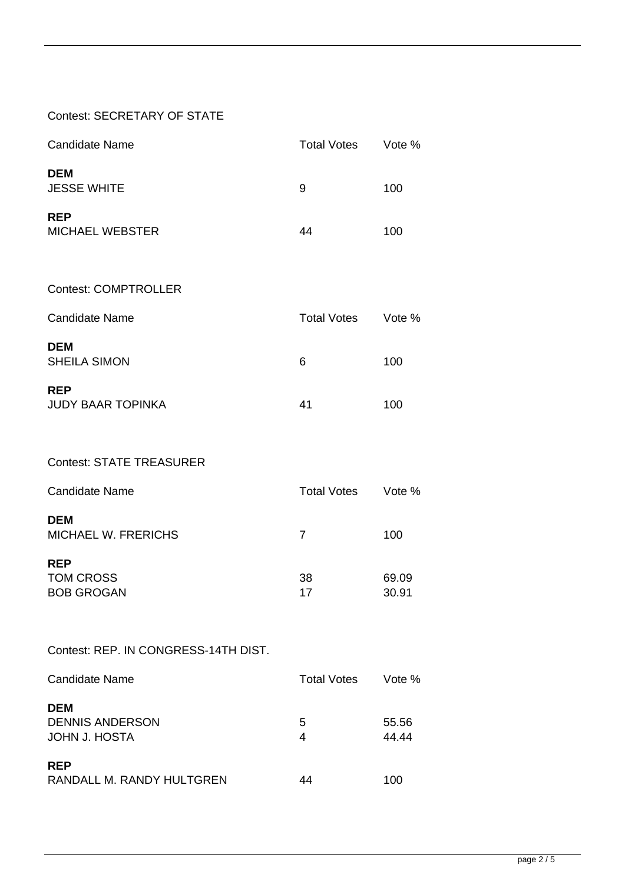### Contest: SECRETARY OF STATE

| <b>Candidate Name</b>                  | <b>Total Votes</b> | Vote % |
|----------------------------------------|--------------------|--------|
| <b>DEM</b><br><b>JESSE WHITE</b>       | 9                  | 100    |
| <b>REP</b><br><b>MICHAEL WEBSTER</b>   | 44                 | 100    |
| <b>Contest: COMPTROLLER</b>            |                    |        |
| <b>Candidate Name</b>                  | <b>Total Votes</b> | Vote % |
| <b>DEM</b><br><b>SHEILA SIMON</b>      | 6                  | 100    |
| <b>REP</b><br><b>JUDY BAAR TOPINKA</b> | 41                 | 100    |

Contest: STATE TREASURER

| Candidate Name                           | <b>Total Votes</b> | Vote % |
|------------------------------------------|--------------------|--------|
| <b>DEM</b><br><b>MICHAEL W. FRERICHS</b> | 7                  | 100    |
| <b>REP</b>                               |                    |        |
| TOM CROSS                                | 38                 | 69.09  |
| <b>BOB GROGAN</b>                        | 17                 | 30.91  |

Contest: REP. IN CONGRESS-14TH DIST.

| Candidate Name                                        | <b>Total Votes</b> | Vote %         |
|-------------------------------------------------------|--------------------|----------------|
| <b>DEM</b><br><b>DENNIS ANDERSON</b><br>JOHN J. HOSTA | 5<br>4             | 55.56<br>44.44 |
| <b>REP</b><br>RANDALL M. RANDY HULTGREN               | 44                 | 100            |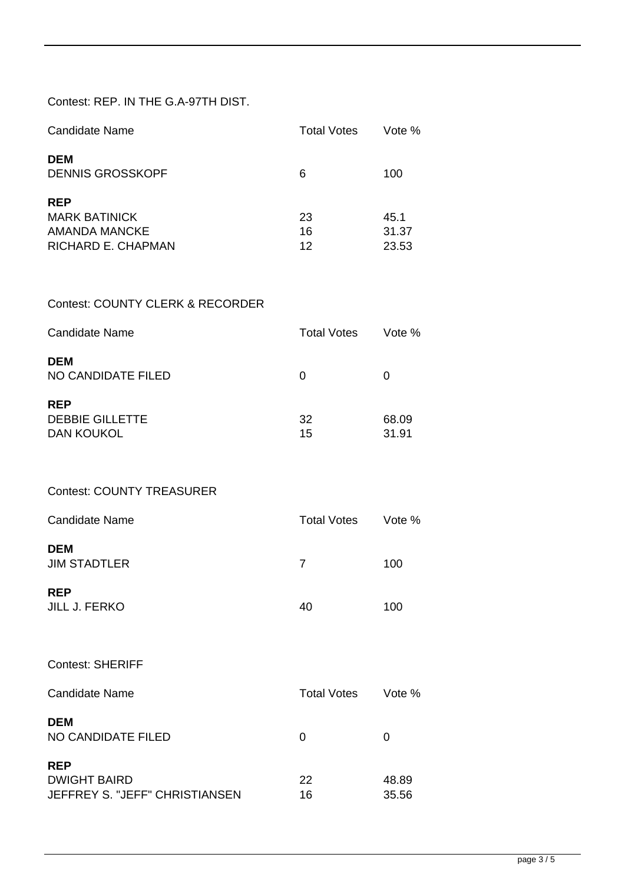# Contest: REP. IN THE G.A-97TH DIST.

| Candidate Name                                                            | <b>Total Votes</b> | Vote %                 |
|---------------------------------------------------------------------------|--------------------|------------------------|
| <b>DEM</b><br><b>DENNIS GROSSKOPF</b>                                     | 6                  | 100                    |
| <b>REP</b><br><b>MARK BATINICK</b><br>AMANDA MANCKE<br>RICHARD E. CHAPMAN | 23<br>16<br>12     | 45.1<br>31.37<br>23.53 |

### Contest: COUNTY CLERK & RECORDER

| Candidate Name                                            | <b>Total Votes</b> | Vote %         |
|-----------------------------------------------------------|--------------------|----------------|
| <b>DEM</b><br>NO CANDIDATE FILED                          | 0                  |                |
| <b>REP</b><br><b>DEBBIE GILLETTE</b><br><b>DAN KOUKOL</b> | 32<br>15           | 68.09<br>31.91 |

#### Contest: COUNTY TREASURER

| <b>Candidate Name</b>              | <b>Total Votes</b> | Vote % |
|------------------------------------|--------------------|--------|
| <b>DEM</b><br><b>JIM STADTLER</b>  |                    | 100    |
| <b>REP</b><br><b>JILL J. FERKO</b> | 40                 | 100    |

Contest: SHERIFF

| Candidate Name                                                      | <b>Total Votes</b> | Vote %         |
|---------------------------------------------------------------------|--------------------|----------------|
| <b>DEM</b><br>NO CANDIDATE FILED                                    | O                  | O              |
| <b>REP</b><br><b>DWIGHT BAIRD</b><br>JEFFREY S. "JEFF" CHRISTIANSEN | 22<br>16           | 48.89<br>35.56 |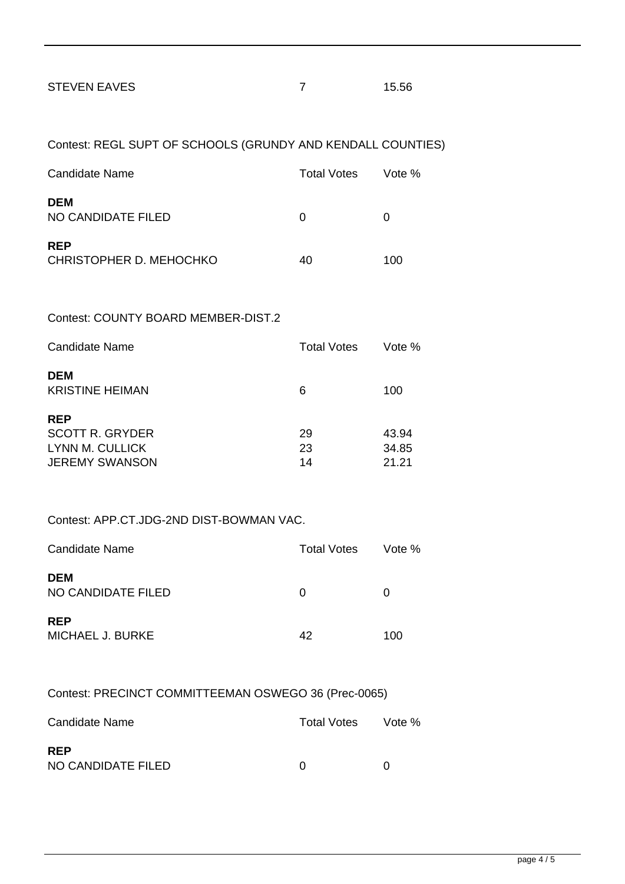| 15.56 |
|-------|
|       |

| Contest: REGL SUPT OF SCHOOLS (GRUNDY AND KENDALL COUNTIES)        |                    |                         |
|--------------------------------------------------------------------|--------------------|-------------------------|
| Candidate Name                                                     | <b>Total Votes</b> | Vote %                  |
| DEM<br>NO CANDIDATE FILED                                          | 0                  | 0                       |
| <b>REP</b><br>CHRISTOPHER D. MEHOCHKO                              | 40                 | 100                     |
| Contest: COUNTY BOARD MEMBER-DIST.2                                |                    |                         |
| Candidate Name                                                     | <b>Total Votes</b> | Vote %                  |
| <b>DEM</b><br><b>KRISTINE HEIMAN</b>                               | 6                  | 100                     |
| REP<br><b>SCOTT R. GRYDER</b><br>LYNN M. CULLICK<br>JEREMY SWANSON | 29<br>23<br>14     | 43.94<br>34.85<br>21.21 |

### Contest: APP.CT.JDG-2ND DIST-BOWMAN VAC.

| Candidate Name                        | <b>Total Votes</b> | Vote % |
|---------------------------------------|--------------------|--------|
| <b>DEM</b><br>NO CANDIDATE FILED      | 0                  | O      |
| <b>REP</b><br><b>MICHAEL J. BURKE</b> | 42                 | 100    |

## Contest: PRECINCT COMMITTEEMAN OSWEGO 36 (Prec-0065)

| Candidate Name                   | Total Votes | Vote % |
|----------------------------------|-------------|--------|
| <b>RFP</b><br>NO CANDIDATE FILED |             |        |